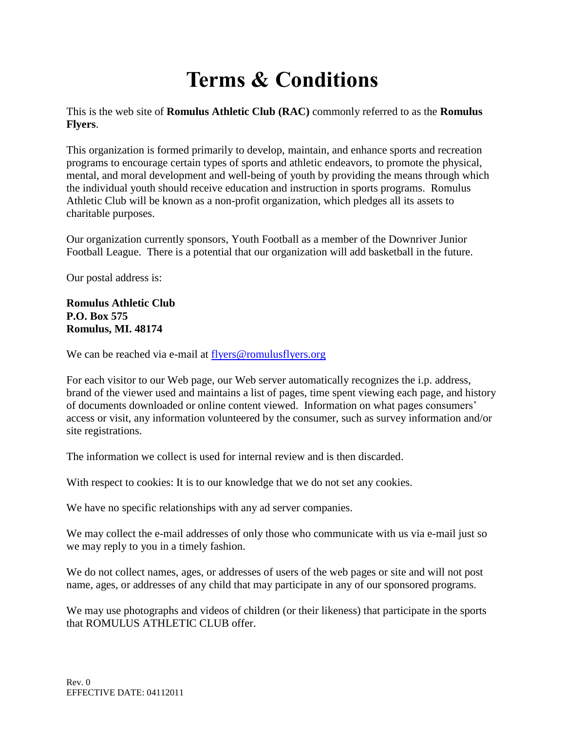# **Terms & Conditions**

This is the web site of **Romulus Athletic Club (RAC)** commonly referred to as the **Romulus Flyers**.

This organization is formed primarily to develop, maintain, and enhance sports and recreation programs to encourage certain types of sports and athletic endeavors, to promote the physical, mental, and moral development and well-being of youth by providing the means through which the individual youth should receive education and instruction in sports programs. Romulus Athletic Club will be known as a non-profit organization, which pledges all its assets to charitable purposes.

Our organization currently sponsors, Youth Football as a member of the Downriver Junior Football League. There is a potential that our organization will add basketball in the future.

Our postal address is:

#### **Romulus Athletic Club P.O. Box 575 Romulus, MI. 48174**

We can be reached via e-mail at flyers@romulusflyers.org

For each visitor to our Web page, our Web server automatically recognizes the i.p. address, brand of the viewer used and maintains a list of pages, time spent viewing each page, and history of documents downloaded or online content viewed. Information on what pages consumers' access or visit, any information volunteered by the consumer, such as survey information and/or site registrations.

The information we collect is used for internal review and is then discarded.

With respect to cookies: It is to our knowledge that we do not set any cookies.

We have no specific relationships with any ad server companies.

We may collect the e-mail addresses of only those who communicate with us via e-mail just so we may reply to you in a timely fashion.

We do not collect names, ages, or addresses of users of the web pages or site and will not post name, ages, or addresses of any child that may participate in any of our sponsored programs.

We may use photographs and videos of children (or their likeness) that participate in the sports that ROMULUS ATHLETIC CLUB offer.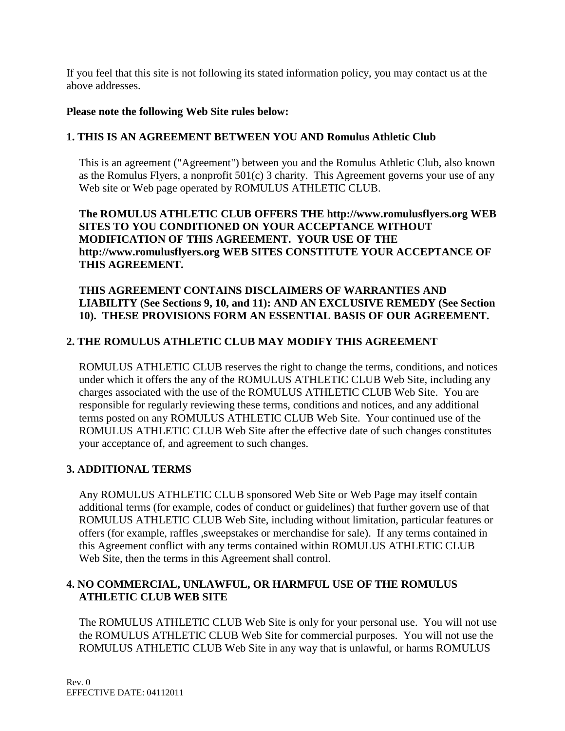If you feel that this site is not following its stated information policy, you may contact us at the above addresses.

#### **Please note the following Web Site rules below:**

## **1. THIS IS AN AGREEMENT BETWEEN YOU AND Romulus Athletic Club**

This is an agreement ("Agreement") between you and the Romulus Athletic Club, also known as the Romulus Flyers, a nonprofit 501(c) 3 charity. This Agreement governs your use of any Web site or Web page operated by ROMULUS ATHLETIC CLUB.

## **The ROMULUS ATHLETIC CLUB OFFERS THE http://www.romulusflyers.org WEB SITES TO YOU CONDITIONED ON YOUR ACCEPTANCE WITHOUT MODIFICATION OF THIS AGREEMENT. YOUR USE OF THE http://www.romulusflyers.org WEB SITES CONSTITUTE YOUR ACCEPTANCE OF THIS AGREEMENT.**

## **THIS AGREEMENT CONTAINS DISCLAIMERS OF WARRANTIES AND LIABILITY (See Sections 9, 10, and 11): AND AN EXCLUSIVE REMEDY (See Section 10). THESE PROVISIONS FORM AN ESSENTIAL BASIS OF OUR AGREEMENT.**

## **2. THE ROMULUS ATHLETIC CLUB MAY MODIFY THIS AGREEMENT**

ROMULUS ATHLETIC CLUB reserves the right to change the terms, conditions, and notices under which it offers the any of the ROMULUS ATHLETIC CLUB Web Site, including any charges associated with the use of the ROMULUS ATHLETIC CLUB Web Site. You are responsible for regularly reviewing these terms, conditions and notices, and any additional terms posted on any ROMULUS ATHLETIC CLUB Web Site. Your continued use of the ROMULUS ATHLETIC CLUB Web Site after the effective date of such changes constitutes your acceptance of, and agreement to such changes.

## **3. ADDITIONAL TERMS**

Any ROMULUS ATHLETIC CLUB sponsored Web Site or Web Page may itself contain additional terms (for example, codes of conduct or guidelines) that further govern use of that ROMULUS ATHLETIC CLUB Web Site, including without limitation, particular features or offers (for example, raffles ,sweepstakes or merchandise for sale). If any terms contained in this Agreement conflict with any terms contained within ROMULUS ATHLETIC CLUB Web Site, then the terms in this Agreement shall control.

## **4. NO COMMERCIAL, UNLAWFUL, OR HARMFUL USE OF THE ROMULUS ATHLETIC CLUB WEB SITE**

The ROMULUS ATHLETIC CLUB Web Site is only for your personal use. You will not use the ROMULUS ATHLETIC CLUB Web Site for commercial purposes. You will not use the ROMULUS ATHLETIC CLUB Web Site in any way that is unlawful, or harms ROMULUS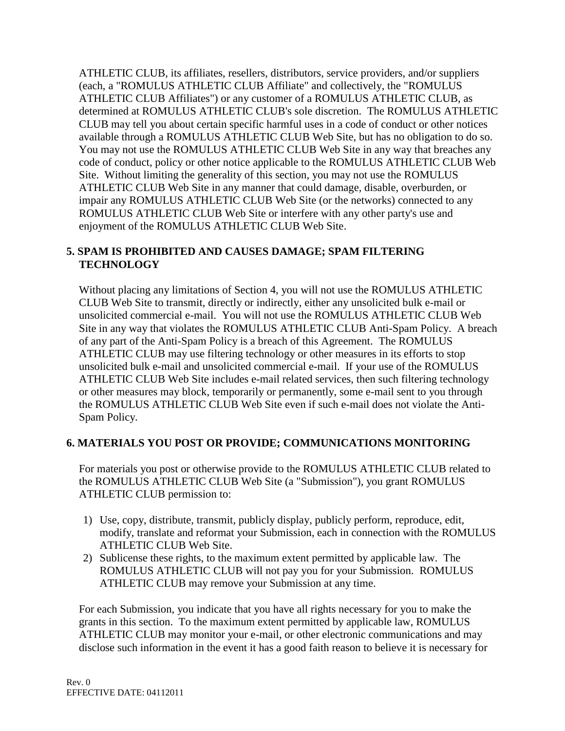ATHLETIC CLUB, its affiliates, resellers, distributors, service providers, and/or suppliers (each, a "ROMULUS ATHLETIC CLUB Affiliate" and collectively, the "ROMULUS ATHLETIC CLUB Affiliates") or any customer of a ROMULUS ATHLETIC CLUB, as determined at ROMULUS ATHLETIC CLUB's sole discretion. The ROMULUS ATHLETIC CLUB may tell you about certain specific harmful uses in a code of conduct or other notices available through a ROMULUS ATHLETIC CLUB Web Site, but has no obligation to do so. You may not use the ROMULUS ATHLETIC CLUB Web Site in any way that breaches any code of conduct, policy or other notice applicable to the ROMULUS ATHLETIC CLUB Web Site. Without limiting the generality of this section, you may not use the ROMULUS ATHLETIC CLUB Web Site in any manner that could damage, disable, overburden, or impair any ROMULUS ATHLETIC CLUB Web Site (or the networks) connected to any ROMULUS ATHLETIC CLUB Web Site or interfere with any other party's use and enjoyment of the ROMULUS ATHLETIC CLUB Web Site.

## **5. SPAM IS PROHIBITED AND CAUSES DAMAGE; SPAM FILTERING TECHNOLOGY**

Without placing any limitations of Section 4, you will not use the ROMULUS ATHLETIC CLUB Web Site to transmit, directly or indirectly, either any unsolicited bulk e-mail or unsolicited commercial e-mail. You will not use the ROMULUS ATHLETIC CLUB Web Site in any way that violates the ROMULUS ATHLETIC CLUB Anti-Spam Policy. A breach of any part of the Anti-Spam Policy is a breach of this Agreement. The ROMULUS ATHLETIC CLUB may use filtering technology or other measures in its efforts to stop unsolicited bulk e-mail and unsolicited commercial e-mail. If your use of the ROMULUS ATHLETIC CLUB Web Site includes e-mail related services, then such filtering technology or other measures may block, temporarily or permanently, some e-mail sent to you through the ROMULUS ATHLETIC CLUB Web Site even if such e-mail does not violate the Anti-Spam Policy.

# **6. MATERIALS YOU POST OR PROVIDE; COMMUNICATIONS MONITORING**

For materials you post or otherwise provide to the ROMULUS ATHLETIC CLUB related to the ROMULUS ATHLETIC CLUB Web Site (a "Submission"), you grant ROMULUS ATHLETIC CLUB permission to:

- 1) Use, copy, distribute, transmit, publicly display, publicly perform, reproduce, edit, modify, translate and reformat your Submission, each in connection with the ROMULUS ATHLETIC CLUB Web Site.
- 2) Sublicense these rights, to the maximum extent permitted by applicable law. The ROMULUS ATHLETIC CLUB will not pay you for your Submission. ROMULUS ATHLETIC CLUB may remove your Submission at any time.

For each Submission, you indicate that you have all rights necessary for you to make the grants in this section. To the maximum extent permitted by applicable law, ROMULUS ATHLETIC CLUB may monitor your e-mail, or other electronic communications and may disclose such information in the event it has a good faith reason to believe it is necessary for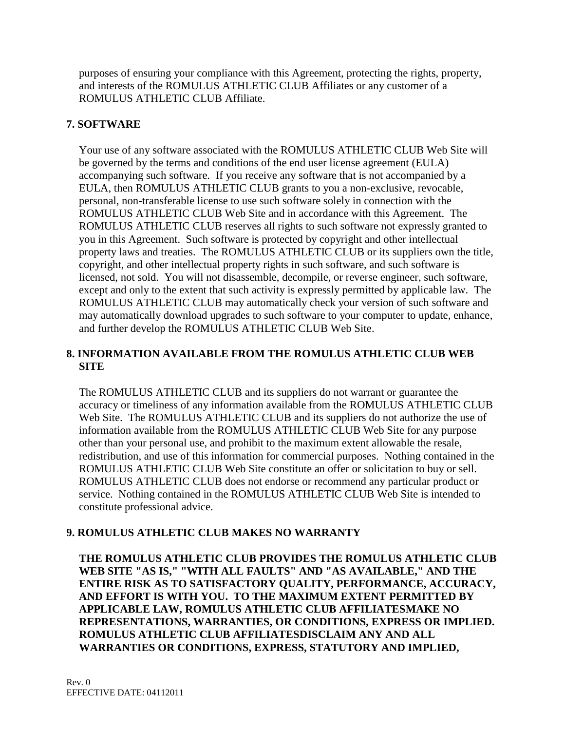purposes of ensuring your compliance with this Agreement, protecting the rights, property, and interests of the ROMULUS ATHLETIC CLUB Affiliates or any customer of a ROMULUS ATHLETIC CLUB Affiliate.

## **7. SOFTWARE**

Your use of any software associated with the ROMULUS ATHLETIC CLUB Web Site will be governed by the terms and conditions of the end user license agreement (EULA) accompanying such software. If you receive any software that is not accompanied by a EULA, then ROMULUS ATHLETIC CLUB grants to you a non-exclusive, revocable, personal, non-transferable license to use such software solely in connection with the ROMULUS ATHLETIC CLUB Web Site and in accordance with this Agreement. The ROMULUS ATHLETIC CLUB reserves all rights to such software not expressly granted to you in this Agreement. Such software is protected by copyright and other intellectual property laws and treaties. The ROMULUS ATHLETIC CLUB or its suppliers own the title, copyright, and other intellectual property rights in such software, and such software is licensed, not sold. You will not disassemble, decompile, or reverse engineer, such software, except and only to the extent that such activity is expressly permitted by applicable law. The ROMULUS ATHLETIC CLUB may automatically check your version of such software and may automatically download upgrades to such software to your computer to update, enhance, and further develop the ROMULUS ATHLETIC CLUB Web Site.

## **8. INFORMATION AVAILABLE FROM THE ROMULUS ATHLETIC CLUB WEB SITE**

The ROMULUS ATHLETIC CLUB and its suppliers do not warrant or guarantee the accuracy or timeliness of any information available from the ROMULUS ATHLETIC CLUB Web Site. The ROMULUS ATHLETIC CLUB and its suppliers do not authorize the use of information available from the ROMULUS ATHLETIC CLUB Web Site for any purpose other than your personal use, and prohibit to the maximum extent allowable the resale, redistribution, and use of this information for commercial purposes. Nothing contained in the ROMULUS ATHLETIC CLUB Web Site constitute an offer or solicitation to buy or sell. ROMULUS ATHLETIC CLUB does not endorse or recommend any particular product or service. Nothing contained in the ROMULUS ATHLETIC CLUB Web Site is intended to constitute professional advice.

# **9. ROMULUS ATHLETIC CLUB MAKES NO WARRANTY**

**THE ROMULUS ATHLETIC CLUB PROVIDES THE ROMULUS ATHLETIC CLUB WEB SITE "AS IS," "WITH ALL FAULTS" AND "AS AVAILABLE," AND THE ENTIRE RISK AS TO SATISFACTORY QUALITY, PERFORMANCE, ACCURACY, AND EFFORT IS WITH YOU. TO THE MAXIMUM EXTENT PERMITTED BY APPLICABLE LAW, ROMULUS ATHLETIC CLUB AFFILIATESMAKE NO REPRESENTATIONS, WARRANTIES, OR CONDITIONS, EXPRESS OR IMPLIED. ROMULUS ATHLETIC CLUB AFFILIATESDISCLAIM ANY AND ALL WARRANTIES OR CONDITIONS, EXPRESS, STATUTORY AND IMPLIED,**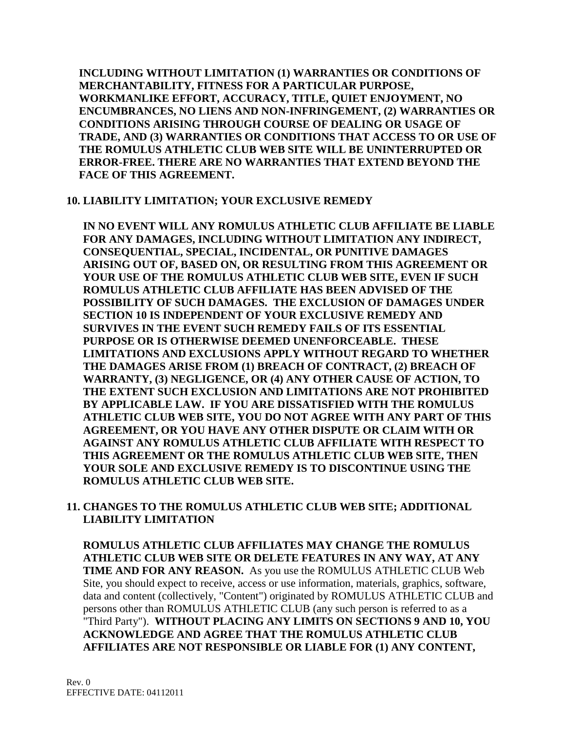**INCLUDING WITHOUT LIMITATION (1) WARRANTIES OR CONDITIONS OF MERCHANTABILITY, FITNESS FOR A PARTICULAR PURPOSE, WORKMANLIKE EFFORT, ACCURACY, TITLE, QUIET ENJOYMENT, NO ENCUMBRANCES, NO LIENS AND NON-INFRINGEMENT, (2) WARRANTIES OR CONDITIONS ARISING THROUGH COURSE OF DEALING OR USAGE OF TRADE, AND (3) WARRANTIES OR CONDITIONS THAT ACCESS TO OR USE OF THE ROMULUS ATHLETIC CLUB WEB SITE WILL BE UNINTERRUPTED OR ERROR-FREE. THERE ARE NO WARRANTIES THAT EXTEND BEYOND THE FACE OF THIS AGREEMENT.** 

## **10. LIABILITY LIMITATION; YOUR EXCLUSIVE REMEDY**

**IN NO EVENT WILL ANY ROMULUS ATHLETIC CLUB AFFILIATE BE LIABLE FOR ANY DAMAGES, INCLUDING WITHOUT LIMITATION ANY INDIRECT, CONSEQUENTIAL, SPECIAL, INCIDENTAL, OR PUNITIVE DAMAGES ARISING OUT OF, BASED ON, OR RESULTING FROM THIS AGREEMENT OR YOUR USE OF THE ROMULUS ATHLETIC CLUB WEB SITE, EVEN IF SUCH ROMULUS ATHLETIC CLUB AFFILIATE HAS BEEN ADVISED OF THE POSSIBILITY OF SUCH DAMAGES. THE EXCLUSION OF DAMAGES UNDER SECTION 10 IS INDEPENDENT OF YOUR EXCLUSIVE REMEDY AND SURVIVES IN THE EVENT SUCH REMEDY FAILS OF ITS ESSENTIAL PURPOSE OR IS OTHERWISE DEEMED UNENFORCEABLE. THESE LIMITATIONS AND EXCLUSIONS APPLY WITHOUT REGARD TO WHETHER THE DAMAGES ARISE FROM (1) BREACH OF CONTRACT, (2) BREACH OF WARRANTY, (3) NEGLIGENCE, OR (4) ANY OTHER CAUSE OF ACTION, TO THE EXTENT SUCH EXCLUSION AND LIMITATIONS ARE NOT PROHIBITED BY APPLICABLE LAW. IF YOU ARE DISSATISFIED WITH THE ROMULUS ATHLETIC CLUB WEB SITE, YOU DO NOT AGREE WITH ANY PART OF THIS AGREEMENT, OR YOU HAVE ANY OTHER DISPUTE OR CLAIM WITH OR AGAINST ANY ROMULUS ATHLETIC CLUB AFFILIATE WITH RESPECT TO THIS AGREEMENT OR THE ROMULUS ATHLETIC CLUB WEB SITE, THEN YOUR SOLE AND EXCLUSIVE REMEDY IS TO DISCONTINUE USING THE ROMULUS ATHLETIC CLUB WEB SITE.**

## **11. CHANGES TO THE ROMULUS ATHLETIC CLUB WEB SITE; ADDITIONAL LIABILITY LIMITATION**

**ROMULUS ATHLETIC CLUB AFFILIATES MAY CHANGE THE ROMULUS ATHLETIC CLUB WEB SITE OR DELETE FEATURES IN ANY WAY, AT ANY TIME AND FOR ANY REASON.** As you use the ROMULUS ATHLETIC CLUB Web Site, you should expect to receive, access or use information, materials, graphics, software, data and content (collectively, "Content") originated by ROMULUS ATHLETIC CLUB and persons other than ROMULUS ATHLETIC CLUB (any such person is referred to as a "Third Party"). **WITHOUT PLACING ANY LIMITS ON SECTIONS 9 AND 10, YOU ACKNOWLEDGE AND AGREE THAT THE ROMULUS ATHLETIC CLUB AFFILIATES ARE NOT RESPONSIBLE OR LIABLE FOR (1) ANY CONTENT,**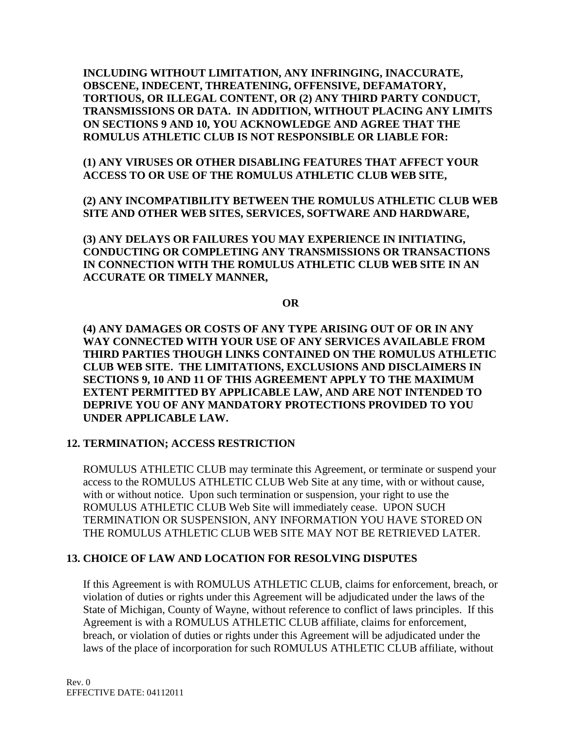**INCLUDING WITHOUT LIMITATION, ANY INFRINGING, INACCURATE, OBSCENE, INDECENT, THREATENING, OFFENSIVE, DEFAMATORY, TORTIOUS, OR ILLEGAL CONTENT, OR (2) ANY THIRD PARTY CONDUCT, TRANSMISSIONS OR DATA. IN ADDITION, WITHOUT PLACING ANY LIMITS ON SECTIONS 9 AND 10, YOU ACKNOWLEDGE AND AGREE THAT THE ROMULUS ATHLETIC CLUB IS NOT RESPONSIBLE OR LIABLE FOR:**

**(1) ANY VIRUSES OR OTHER DISABLING FEATURES THAT AFFECT YOUR ACCESS TO OR USE OF THE ROMULUS ATHLETIC CLUB WEB SITE,** 

**(2) ANY INCOMPATIBILITY BETWEEN THE ROMULUS ATHLETIC CLUB WEB SITE AND OTHER WEB SITES, SERVICES, SOFTWARE AND HARDWARE,** 

**(3) ANY DELAYS OR FAILURES YOU MAY EXPERIENCE IN INITIATING, CONDUCTING OR COMPLETING ANY TRANSMISSIONS OR TRANSACTIONS IN CONNECTION WITH THE ROMULUS ATHLETIC CLUB WEB SITE IN AN ACCURATE OR TIMELY MANNER,** 

**OR**

**(4) ANY DAMAGES OR COSTS OF ANY TYPE ARISING OUT OF OR IN ANY WAY CONNECTED WITH YOUR USE OF ANY SERVICES AVAILABLE FROM THIRD PARTIES THOUGH LINKS CONTAINED ON THE ROMULUS ATHLETIC CLUB WEB SITE. THE LIMITATIONS, EXCLUSIONS AND DISCLAIMERS IN SECTIONS 9, 10 AND 11 OF THIS AGREEMENT APPLY TO THE MAXIMUM EXTENT PERMITTED BY APPLICABLE LAW, AND ARE NOT INTENDED TO DEPRIVE YOU OF ANY MANDATORY PROTECTIONS PROVIDED TO YOU UNDER APPLICABLE LAW.**

## **12. TERMINATION; ACCESS RESTRICTION**

ROMULUS ATHLETIC CLUB may terminate this Agreement, or terminate or suspend your access to the ROMULUS ATHLETIC CLUB Web Site at any time, with or without cause, with or without notice. Upon such termination or suspension, your right to use the ROMULUS ATHLETIC CLUB Web Site will immediately cease. UPON SUCH TERMINATION OR SUSPENSION, ANY INFORMATION YOU HAVE STORED ON THE ROMULUS ATHLETIC CLUB WEB SITE MAY NOT BE RETRIEVED LATER.

# **13. CHOICE OF LAW AND LOCATION FOR RESOLVING DISPUTES**

If this Agreement is with ROMULUS ATHLETIC CLUB, claims for enforcement, breach, or violation of duties or rights under this Agreement will be adjudicated under the laws of the State of Michigan, County of Wayne, without reference to conflict of laws principles. If this Agreement is with a ROMULUS ATHLETIC CLUB affiliate, claims for enforcement, breach, or violation of duties or rights under this Agreement will be adjudicated under the laws of the place of incorporation for such ROMULUS ATHLETIC CLUB affiliate, without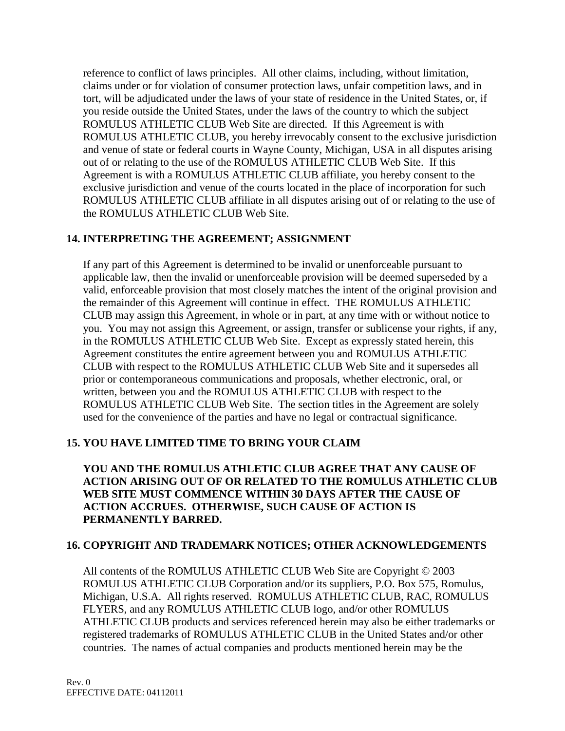reference to conflict of laws principles. All other claims, including, without limitation, claims under or for violation of consumer protection laws, unfair competition laws, and in tort, will be adjudicated under the laws of your state of residence in the United States, or, if you reside outside the United States, under the laws of the country to which the subject ROMULUS ATHLETIC CLUB Web Site are directed. If this Agreement is with ROMULUS ATHLETIC CLUB, you hereby irrevocably consent to the exclusive jurisdiction and venue of state or federal courts in Wayne County, Michigan, USA in all disputes arising out of or relating to the use of the ROMULUS ATHLETIC CLUB Web Site. If this Agreement is with a ROMULUS ATHLETIC CLUB affiliate, you hereby consent to the exclusive jurisdiction and venue of the courts located in the place of incorporation for such ROMULUS ATHLETIC CLUB affiliate in all disputes arising out of or relating to the use of the ROMULUS ATHLETIC CLUB Web Site.

## **14. INTERPRETING THE AGREEMENT; ASSIGNMENT**

If any part of this Agreement is determined to be invalid or unenforceable pursuant to applicable law, then the invalid or unenforceable provision will be deemed superseded by a valid, enforceable provision that most closely matches the intent of the original provision and the remainder of this Agreement will continue in effect. THE ROMULUS ATHLETIC CLUB may assign this Agreement, in whole or in part, at any time with or without notice to you. You may not assign this Agreement, or assign, transfer or sublicense your rights, if any, in the ROMULUS ATHLETIC CLUB Web Site. Except as expressly stated herein, this Agreement constitutes the entire agreement between you and ROMULUS ATHLETIC CLUB with respect to the ROMULUS ATHLETIC CLUB Web Site and it supersedes all prior or contemporaneous communications and proposals, whether electronic, oral, or written, between you and the ROMULUS ATHLETIC CLUB with respect to the ROMULUS ATHLETIC CLUB Web Site. The section titles in the Agreement are solely used for the convenience of the parties and have no legal or contractual significance.

# **15. YOU HAVE LIMITED TIME TO BRING YOUR CLAIM**

**YOU AND THE ROMULUS ATHLETIC CLUB AGREE THAT ANY CAUSE OF ACTION ARISING OUT OF OR RELATED TO THE ROMULUS ATHLETIC CLUB WEB SITE MUST COMMENCE WITHIN 30 DAYS AFTER THE CAUSE OF ACTION ACCRUES. OTHERWISE, SUCH CAUSE OF ACTION IS PERMANENTLY BARRED.** 

## **16. COPYRIGHT AND TRADEMARK NOTICES; OTHER ACKNOWLEDGEMENTS**

All contents of the ROMULUS ATHLETIC CLUB Web Site are Copyright © 2003 ROMULUS ATHLETIC CLUB Corporation and/or its suppliers, P.O. Box 575, Romulus, Michigan, U.S.A. All rights reserved. ROMULUS ATHLETIC CLUB, RAC, ROMULUS FLYERS, and any ROMULUS ATHLETIC CLUB logo, and/or other ROMULUS ATHLETIC CLUB products and services referenced herein may also be either trademarks or registered trademarks of ROMULUS ATHLETIC CLUB in the United States and/or other countries. The names of actual companies and products mentioned herein may be the